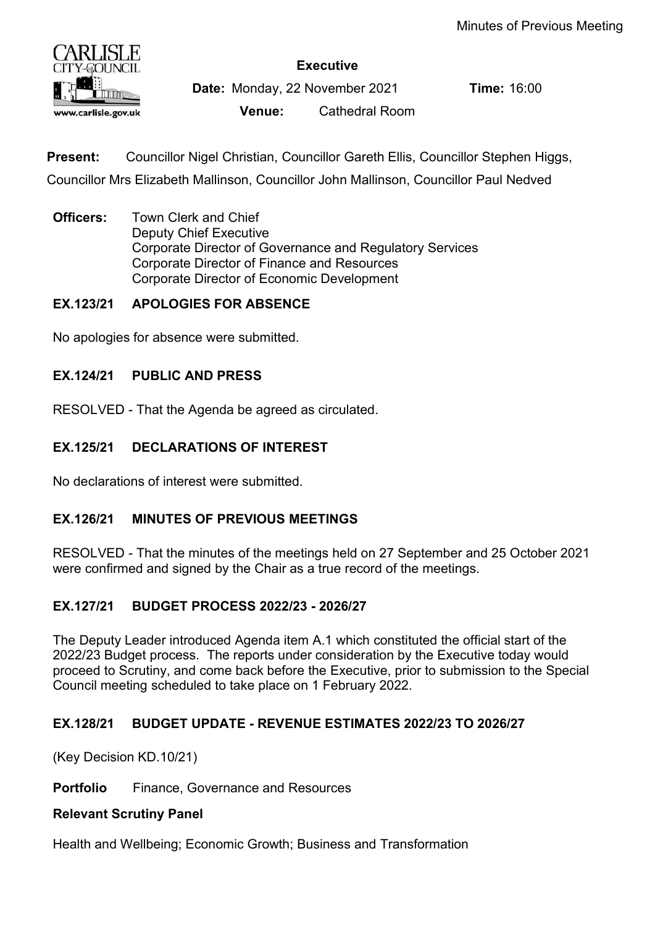

Executive

Date: Monday, 22 November 2021 Time: 16:00

Venue: Cathedral Room

Present: Councillor Nigel Christian, Councillor Gareth Ellis, Councillor Stephen Higgs, Councillor Mrs Elizabeth Mallinson, Councillor John Mallinson, Councillor Paul Nedved

**Officers:** Town Clerk and Chief Deputy Chief Executive Corporate Director of Governance and Regulatory Services Corporate Director of Finance and Resources Corporate Director of Economic Development

# EX.123/21 APOLOGIES FOR ABSENCE

No apologies for absence were submitted.

## EX.124/21 PUBLIC AND PRESS

RESOLVED - That the Agenda be agreed as circulated.

## EX.125/21 DECLARATIONS OF INTEREST

No declarations of interest were submitted.

## EX.126/21 MINUTES OF PREVIOUS MEETINGS

RESOLVED - That the minutes of the meetings held on 27 September and 25 October 2021 were confirmed and signed by the Chair as a true record of the meetings.

## EX.127/21 BUDGET PROCESS 2022/23 - 2026/27

The Deputy Leader introduced Agenda item A.1 which constituted the official start of the 2022/23 Budget process. The reports under consideration by the Executive today would proceed to Scrutiny, and come back before the Executive, prior to submission to the Special Council meeting scheduled to take place on 1 February 2022.

## EX.128/21 BUDGET UPDATE - REVENUE ESTIMATES 2022/23 TO 2026/27

(Key Decision KD.10/21)

Portfolio Finance, Governance and Resources

## Relevant Scrutiny Panel

Health and Wellbeing; Economic Growth; Business and Transformation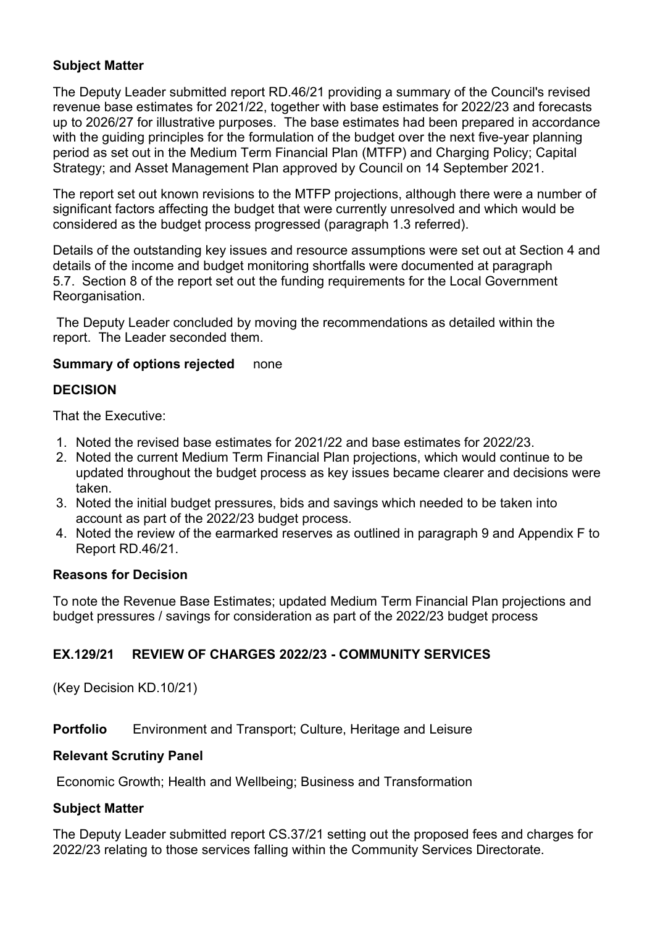## Subject Matter

The Deputy Leader submitted report RD.46/21 providing a summary of the Council's revised revenue base estimates for 2021/22, together with base estimates for 2022/23 and forecasts up to 2026/27 for illustrative purposes. The base estimates had been prepared in accordance with the guiding principles for the formulation of the budget over the next five-year planning period as set out in the Medium Term Financial Plan (MTFP) and Charging Policy; Capital Strategy; and Asset Management Plan approved by Council on 14 September 2021.

The report set out known revisions to the MTFP projections, although there were a number of significant factors affecting the budget that were currently unresolved and which would be considered as the budget process progressed (paragraph 1.3 referred).

Details of the outstanding key issues and resource assumptions were set out at Section 4 and details of the income and budget monitoring shortfalls were documented at paragraph 5.7. Section 8 of the report set out the funding requirements for the Local Government Reorganisation.

 The Deputy Leader concluded by moving the recommendations as detailed within the report. The Leader seconded them.

## Summary of options rejected none

## DECISION

That the Executive:

- 1. Noted the revised base estimates for 2021/22 and base estimates for 2022/23.
- 2. Noted the current Medium Term Financial Plan projections, which would continue to be updated throughout the budget process as key issues became clearer and decisions were taken.
- 3. Noted the initial budget pressures, bids and savings which needed to be taken into account as part of the 2022/23 budget process.
- 4. Noted the review of the earmarked reserves as outlined in paragraph 9 and Appendix F to Report RD.46/21.

## Reasons for Decision

To note the Revenue Base Estimates; updated Medium Term Financial Plan projections and budget pressures / savings for consideration as part of the 2022/23 budget process

## EX.129/21 REVIEW OF CHARGES 2022/23 - COMMUNITY SERVICES

(Key Decision KD.10/21)

**Portfolio** Environment and Transport: Culture, Heritage and Leisure

## Relevant Scrutiny Panel

Economic Growth; Health and Wellbeing; Business and Transformation

## Subject Matter

The Deputy Leader submitted report CS.37/21 setting out the proposed fees and charges for 2022/23 relating to those services falling within the Community Services Directorate.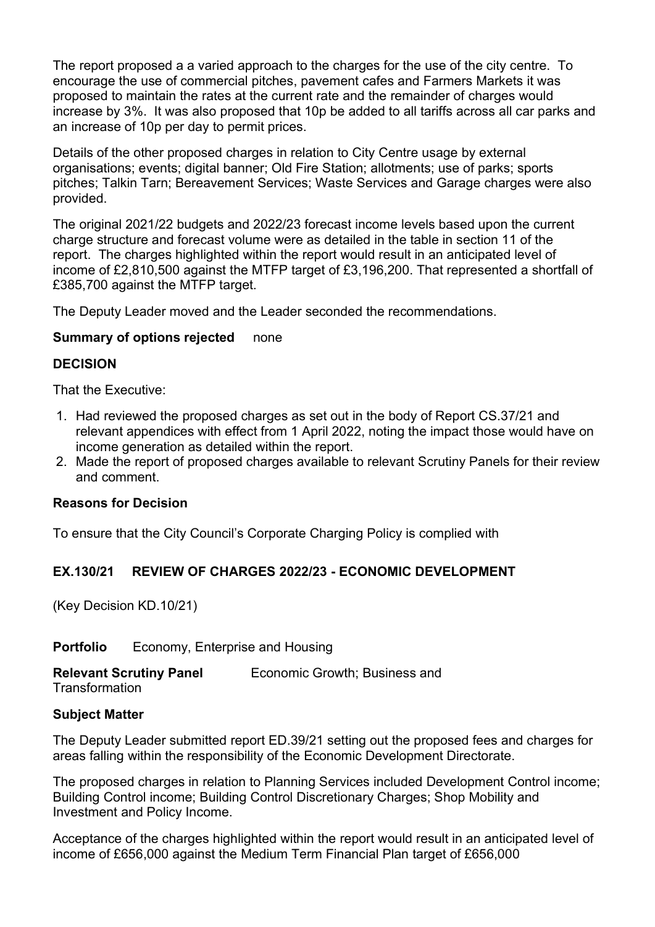The report proposed a a varied approach to the charges for the use of the city centre. To encourage the use of commercial pitches, pavement cafes and Farmers Markets it was proposed to maintain the rates at the current rate and the remainder of charges would increase by 3%. It was also proposed that 10p be added to all tariffs across all car parks and an increase of 10p per day to permit prices.

Details of the other proposed charges in relation to City Centre usage by external organisations; events; digital banner; Old Fire Station; allotments; use of parks; sports pitches; Talkin Tarn; Bereavement Services; Waste Services and Garage charges were also provided.

The original 2021/22 budgets and 2022/23 forecast income levels based upon the current charge structure and forecast volume were as detailed in the table in section 11 of the report. The charges highlighted within the report would result in an anticipated level of income of £2,810,500 against the MTFP target of £3,196,200. That represented a shortfall of £385,700 against the MTFP target.

The Deputy Leader moved and the Leader seconded the recommendations.

## Summary of options rejected none

#### DECISION

That the Executive:

- 1. Had reviewed the proposed charges as set out in the body of Report CS.37/21 and relevant appendices with effect from 1 April 2022, noting the impact those would have on income generation as detailed within the report.
- 2. Made the report of proposed charges available to relevant Scrutiny Panels for their review and comment.

## Reasons for Decision

To ensure that the City Council's Corporate Charging Policy is complied with

## EX.130/21 REVIEW OF CHARGES 2022/23 - ECONOMIC DEVELOPMENT

(Key Decision KD.10/21)

Portfolio Economy, Enterprise and Housing

Relevant Scrutiny Panel Economic Growth; Business and **Transformation** 

#### Subject Matter

The Deputy Leader submitted report ED.39/21 setting out the proposed fees and charges for areas falling within the responsibility of the Economic Development Directorate.

The proposed charges in relation to Planning Services included Development Control income; Building Control income; Building Control Discretionary Charges; Shop Mobility and Investment and Policy Income.

Acceptance of the charges highlighted within the report would result in an anticipated level of income of £656,000 against the Medium Term Financial Plan target of £656,000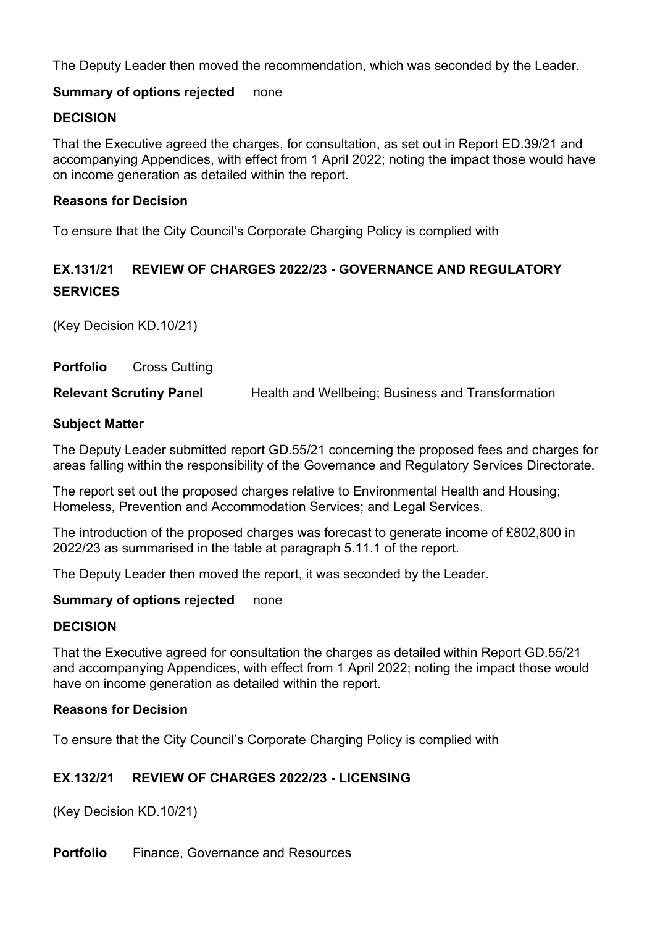The Deputy Leader then moved the recommendation, which was seconded by the Leader.

## Summary of options rejected none

## **DECISION**

That the Executive agreed the charges, for consultation, as set out in Report ED.39/21 and accompanying Appendices, with effect from 1 April 2022; noting the impact those would have on income generation as detailed within the report.

## Reasons for Decision

To ensure that the City Council's Corporate Charging Policy is complied with

# EX.131/21 REVIEW OF CHARGES 2022/23 - GOVERNANCE AND REGULATORY **SERVICES**

(Key Decision KD.10/21)

Portfolio Cross Cutting **Relevant Scrutiny Panel Health and Wellbeing; Business and Transformation** 

#### Subject Matter

The Deputy Leader submitted report GD.55/21 concerning the proposed fees and charges for areas falling within the responsibility of the Governance and Regulatory Services Directorate.

The report set out the proposed charges relative to Environmental Health and Housing; Homeless, Prevention and Accommodation Services; and Legal Services.

The introduction of the proposed charges was forecast to generate income of £802,800 in 2022/23 as summarised in the table at paragraph 5.11.1 of the report.

The Deputy Leader then moved the report, it was seconded by the Leader.

## Summary of options rejected none

#### DECISION

That the Executive agreed for consultation the charges as detailed within Report GD.55/21 and accompanying Appendices, with effect from 1 April 2022; noting the impact those would have on income generation as detailed within the report.

#### Reasons for Decision

To ensure that the City Council's Corporate Charging Policy is complied with

## EX.132/21 REVIEW OF CHARGES 2022/23 - LICENSING

(Key Decision KD.10/21)

Portfolio Finance, Governance and Resources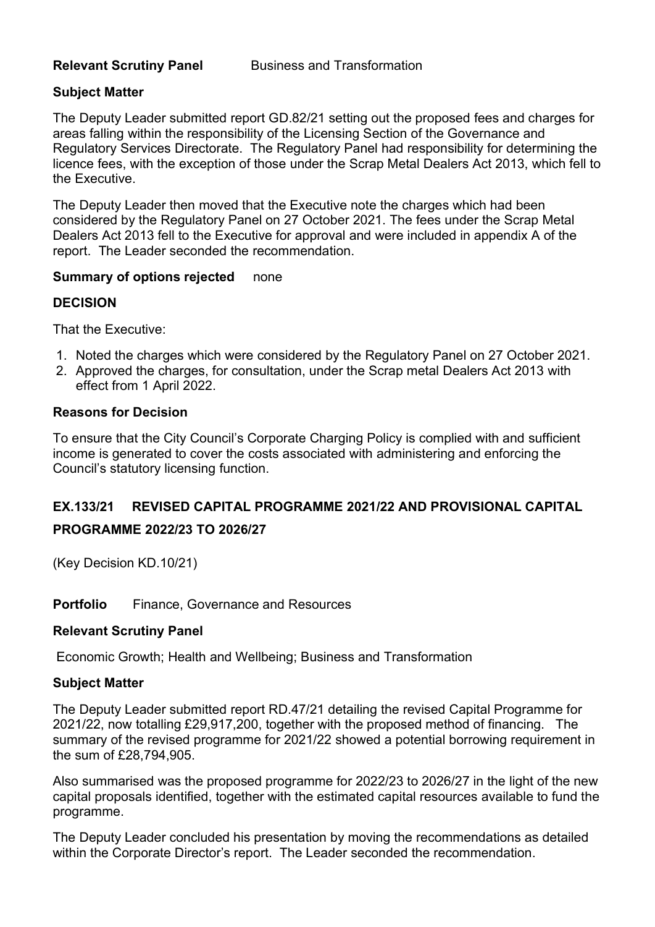## Subject Matter

The Deputy Leader submitted report GD.82/21 setting out the proposed fees and charges for areas falling within the responsibility of the Licensing Section of the Governance and Regulatory Services Directorate. The Regulatory Panel had responsibility for determining the licence fees, with the exception of those under the Scrap Metal Dealers Act 2013, which fell to the Executive.

The Deputy Leader then moved that the Executive note the charges which had been considered by the Regulatory Panel on 27 October 2021. The fees under the Scrap Metal Dealers Act 2013 fell to the Executive for approval and were included in appendix A of the report. The Leader seconded the recommendation.

## Summary of options rejected none

## **DECISION**

That the Executive:

- 1. Noted the charges which were considered by the Regulatory Panel on 27 October 2021.
- 2. Approved the charges, for consultation, under the Scrap metal Dealers Act 2013 with effect from 1 April 2022.

#### Reasons for Decision

To ensure that the City Council's Corporate Charging Policy is complied with and sufficient income is generated to cover the costs associated with administering and enforcing the Council's statutory licensing function.

## EX.133/21 REVISED CAPITAL PROGRAMME 2021/22 AND PROVISIONAL CAPITAL

## PROGRAMME 2022/23 TO 2026/27

(Key Decision KD.10/21)

#### Portfolio Finance, Governance and Resources

#### Relevant Scrutiny Panel

Economic Growth; Health and Wellbeing; Business and Transformation

## Subject Matter

The Deputy Leader submitted report RD.47/21 detailing the revised Capital Programme for 2021/22, now totalling £29,917,200, together with the proposed method of financing. The summary of the revised programme for 2021/22 showed a potential borrowing requirement in the sum of £28,794,905.

Also summarised was the proposed programme for 2022/23 to 2026/27 in the light of the new capital proposals identified, together with the estimated capital resources available to fund the programme.

The Deputy Leader concluded his presentation by moving the recommendations as detailed within the Corporate Director's report. The Leader seconded the recommendation.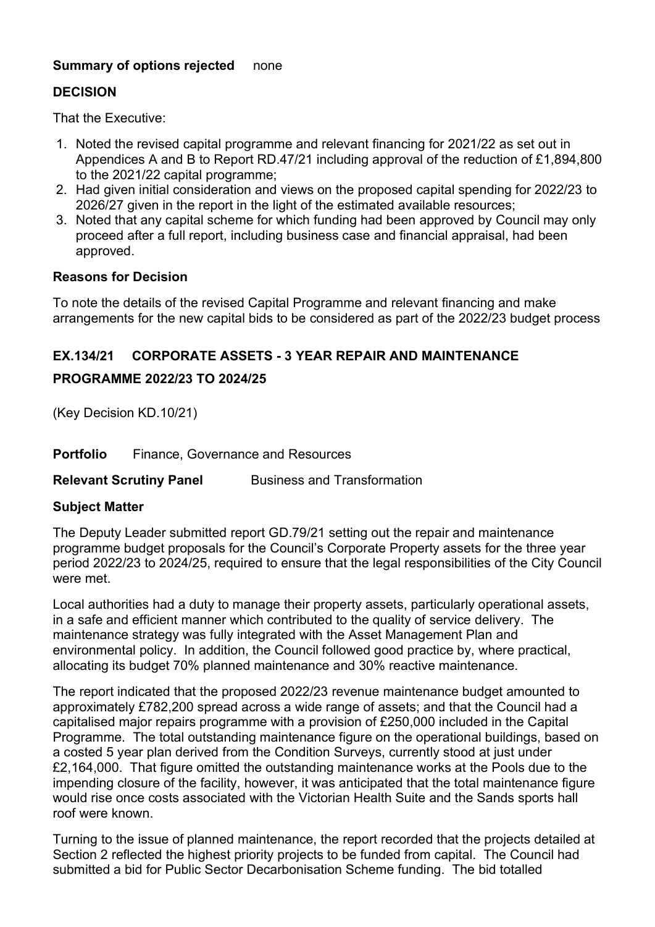## Summary of options rejected none

## DECISION

That the Executive:

- 1. Noted the revised capital programme and relevant financing for 2021/22 as set out in Appendices A and B to Report RD.47/21 including approval of the reduction of £1,894,800 to the 2021/22 capital programme;
- 2. Had given initial consideration and views on the proposed capital spending for 2022/23 to 2026/27 given in the report in the light of the estimated available resources;
- 3. Noted that any capital scheme for which funding had been approved by Council may only proceed after a full report, including business case and financial appraisal, had been approved.

## Reasons for Decision

To note the details of the revised Capital Programme and relevant financing and make arrangements for the new capital bids to be considered as part of the 2022/23 budget process

## EX.134/21 CORPORATE ASSETS - 3 YEAR REPAIR AND MAINTENANCE

## PROGRAMME 2022/23 TO 2024/25

(Key Decision KD.10/21)

Portfolio Finance, Governance and Resources

**Relevant Scrutiny Panel Business and Transformation** 

## Subject Matter

The Deputy Leader submitted report GD.79/21 setting out the repair and maintenance programme budget proposals for the Council's Corporate Property assets for the three year period 2022/23 to 2024/25, required to ensure that the legal responsibilities of the City Council were met.

Local authorities had a duty to manage their property assets, particularly operational assets, in a safe and efficient manner which contributed to the quality of service delivery. The maintenance strategy was fully integrated with the Asset Management Plan and environmental policy. In addition, the Council followed good practice by, where practical, allocating its budget 70% planned maintenance and 30% reactive maintenance.

The report indicated that the proposed 2022/23 revenue maintenance budget amounted to approximately £782,200 spread across a wide range of assets; and that the Council had a capitalised major repairs programme with a provision of £250,000 included in the Capital Programme. The total outstanding maintenance figure on the operational buildings, based on a costed 5 year plan derived from the Condition Surveys, currently stood at just under £2,164,000. That figure omitted the outstanding maintenance works at the Pools due to the impending closure of the facility, however, it was anticipated that the total maintenance figure would rise once costs associated with the Victorian Health Suite and the Sands sports hall roof were known.

Turning to the issue of planned maintenance, the report recorded that the projects detailed at Section 2 reflected the highest priority projects to be funded from capital. The Council had submitted a bid for Public Sector Decarbonisation Scheme funding. The bid totalled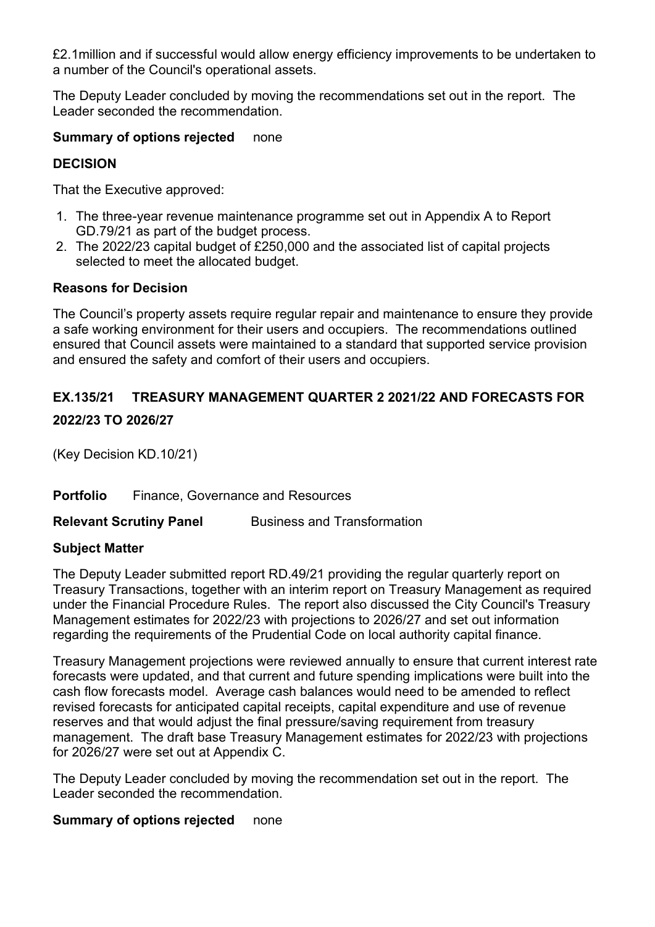£2.1million and if successful would allow energy efficiency improvements to be undertaken to a number of the Council's operational assets.

The Deputy Leader concluded by moving the recommendations set out in the report. The Leader seconded the recommendation.

## Summary of options rejected none

## DECISION

That the Executive approved:

- 1. The three-year revenue maintenance programme set out in Appendix A to Report GD.79/21 as part of the budget process.
- 2. The 2022/23 capital budget of £250,000 and the associated list of capital projects selected to meet the allocated budget.

## Reasons for Decision

The Council's property assets require regular repair and maintenance to ensure they provide a safe working environment for their users and occupiers. The recommendations outlined ensured that Council assets were maintained to a standard that supported service provision and ensured the safety and comfort of their users and occupiers.

## EX.135/21 TREASURY MANAGEMENT QUARTER 2 2021/22 AND FORECASTS FOR

## 2022/23 TO 2026/27

(Key Decision KD.10/21)

Portfolio Finance, Governance and Resources

**Relevant Scrutiny Panel Business and Transformation** 

## Subject Matter

The Deputy Leader submitted report RD.49/21 providing the regular quarterly report on Treasury Transactions, together with an interim report on Treasury Management as required under the Financial Procedure Rules. The report also discussed the City Council's Treasury Management estimates for 2022/23 with projections to 2026/27 and set out information regarding the requirements of the Prudential Code on local authority capital finance.

Treasury Management projections were reviewed annually to ensure that current interest rate forecasts were updated, and that current and future spending implications were built into the cash flow forecasts model. Average cash balances would need to be amended to reflect revised forecasts for anticipated capital receipts, capital expenditure and use of revenue reserves and that would adjust the final pressure/saving requirement from treasury management. The draft base Treasury Management estimates for 2022/23 with projections for 2026/27 were set out at Appendix C.

The Deputy Leader concluded by moving the recommendation set out in the report. The Leader seconded the recommendation.

## Summary of options rejected none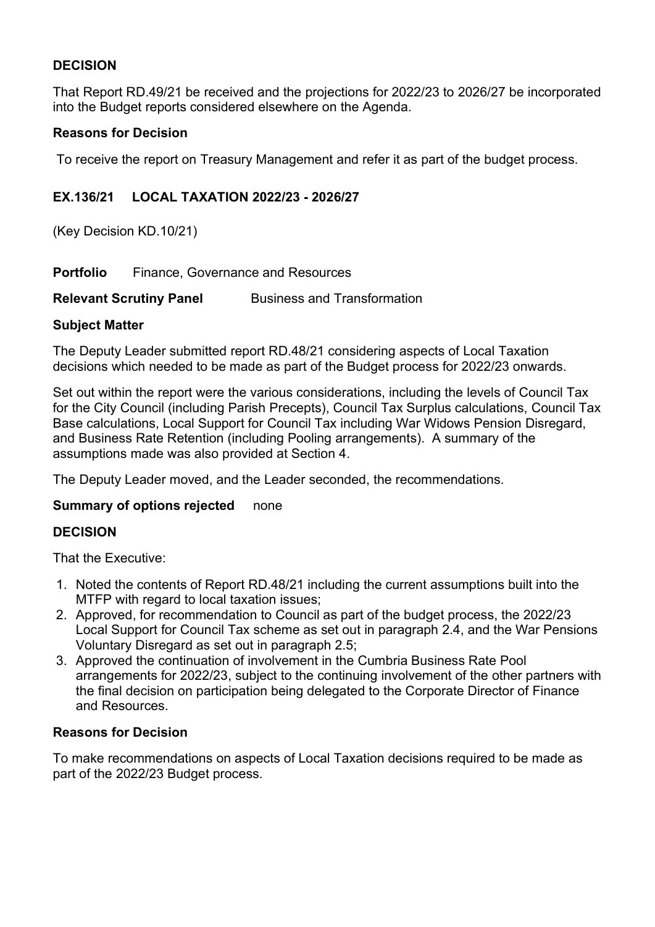## DECISION

That Report RD.49/21 be received and the projections for 2022/23 to 2026/27 be incorporated into the Budget reports considered elsewhere on the Agenda.

## Reasons for Decision

To receive the report on Treasury Management and refer it as part of the budget process.

## EX.136/21 LOCAL TAXATION 2022/23 - 2026/27

(Key Decision KD.10/21)

Portfolio Finance, Governance and Resources

Relevant Scrutiny Panel Business and Transformation

## Subject Matter

The Deputy Leader submitted report RD.48/21 considering aspects of Local Taxation decisions which needed to be made as part of the Budget process for 2022/23 onwards.

Set out within the report were the various considerations, including the levels of Council Tax for the City Council (including Parish Precepts), Council Tax Surplus calculations, Council Tax Base calculations, Local Support for Council Tax including War Widows Pension Disregard, and Business Rate Retention (including Pooling arrangements). A summary of the assumptions made was also provided at Section 4.

The Deputy Leader moved, and the Leader seconded, the recommendations.

## Summary of options rejected none

## DECISION

That the Executive:

- 1. Noted the contents of Report RD.48/21 including the current assumptions built into the MTFP with regard to local taxation issues;
- 2. Approved, for recommendation to Council as part of the budget process, the 2022/23 Local Support for Council Tax scheme as set out in paragraph 2.4, and the War Pensions Voluntary Disregard as set out in paragraph 2.5;
- 3. Approved the continuation of involvement in the Cumbria Business Rate Pool arrangements for 2022/23, subject to the continuing involvement of the other partners with the final decision on participation being delegated to the Corporate Director of Finance and Resources.

## Reasons for Decision

To make recommendations on aspects of Local Taxation decisions required to be made as part of the 2022/23 Budget process.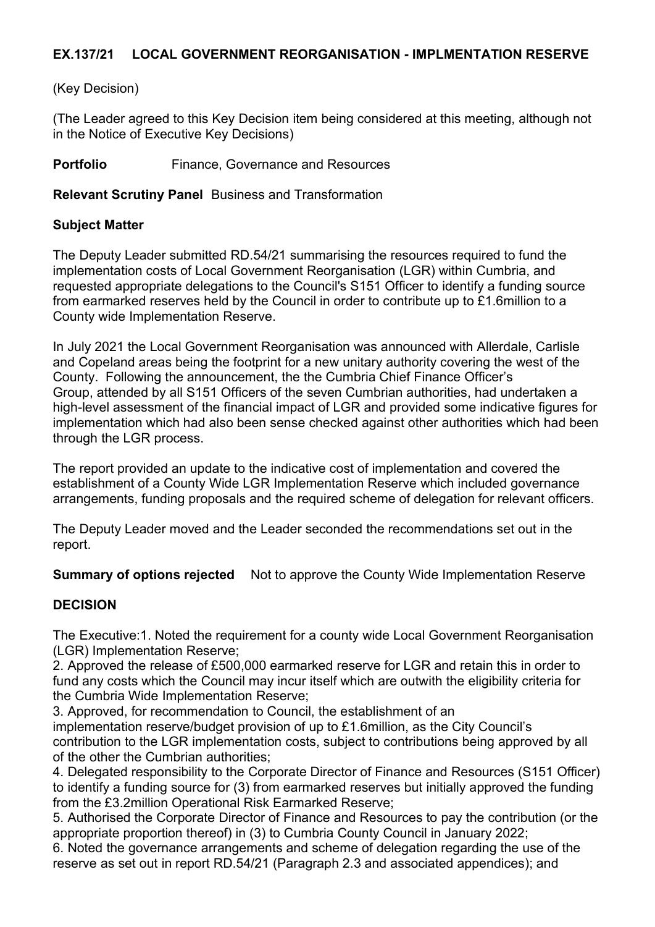## EX.137/21 LOCAL GOVERNMENT REORGANISATION - IMPLMENTATION RESERVE

## (Key Decision)

(The Leader agreed to this Key Decision item being considered at this meeting, although not in the Notice of Executive Key Decisions)

Portfolio Finance, Governance and Resources

Relevant Scrutiny Panel Business and Transformation

## Subject Matter

The Deputy Leader submitted RD.54/21 summarising the resources required to fund the implementation costs of Local Government Reorganisation (LGR) within Cumbria, and requested appropriate delegations to the Council's S151 Officer to identify a funding source from earmarked reserves held by the Council in order to contribute up to £1.6million to a County wide Implementation Reserve.

In July 2021 the Local Government Reorganisation was announced with Allerdale, Carlisle and Copeland areas being the footprint for a new unitary authority covering the west of the County. Following the announcement, the the Cumbria Chief Finance Officer's Group, attended by all S151 Officers of the seven Cumbrian authorities, had undertaken a high-level assessment of the financial impact of LGR and provided some indicative figures for implementation which had also been sense checked against other authorities which had been through the LGR process.

The report provided an update to the indicative cost of implementation and covered the establishment of a County Wide LGR Implementation Reserve which included governance arrangements, funding proposals and the required scheme of delegation for relevant officers.

The Deputy Leader moved and the Leader seconded the recommendations set out in the report.

**Summary of options rejected** Not to approve the County Wide Implementation Reserve

## DECISION

The Executive:1. Noted the requirement for a county wide Local Government Reorganisation (LGR) Implementation Reserve;

2. Approved the release of £500,000 earmarked reserve for LGR and retain this in order to fund any costs which the Council may incur itself which are outwith the eligibility criteria for the Cumbria Wide Implementation Reserve;

3. Approved, for recommendation to Council, the establishment of an implementation reserve/budget provision of up to £1.6million, as the City Council's contribution to the LGR implementation costs, subject to contributions being approved by all of the other the Cumbrian authorities;

4. Delegated responsibility to the Corporate Director of Finance and Resources (S151 Officer) to identify a funding source for (3) from earmarked reserves but initially approved the funding from the £3.2million Operational Risk Earmarked Reserve;

5. Authorised the Corporate Director of Finance and Resources to pay the contribution (or the appropriate proportion thereof) in (3) to Cumbria County Council in January 2022;

6. Noted the governance arrangements and scheme of delegation regarding the use of the reserve as set out in report RD.54/21 (Paragraph 2.3 and associated appendices); and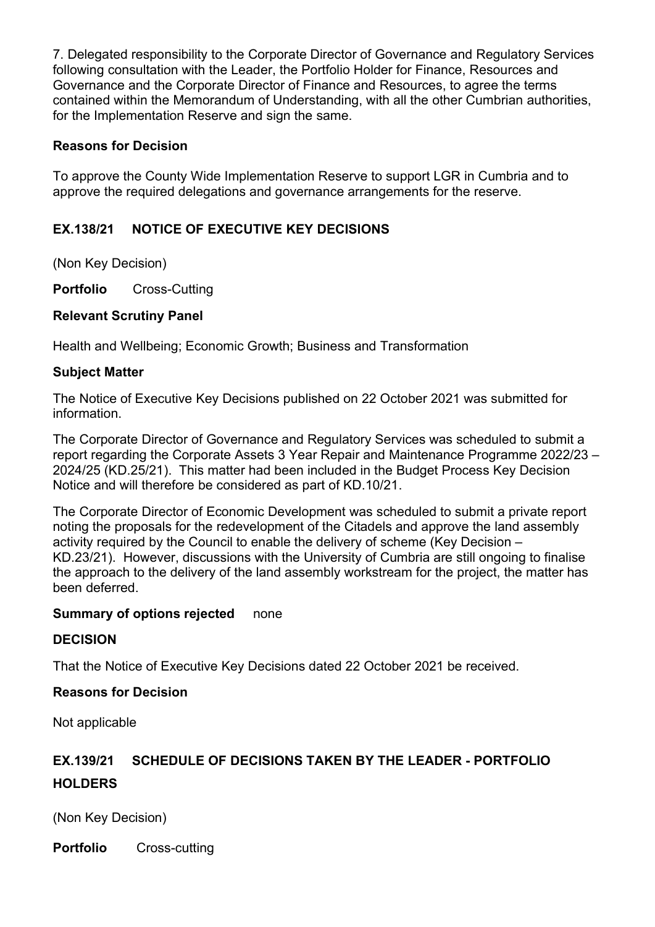7. Delegated responsibility to the Corporate Director of Governance and Regulatory Services following consultation with the Leader, the Portfolio Holder for Finance, Resources and Governance and the Corporate Director of Finance and Resources, to agree the terms contained within the Memorandum of Understanding, with all the other Cumbrian authorities, for the Implementation Reserve and sign the same.

## Reasons for Decision

To approve the County Wide Implementation Reserve to support LGR in Cumbria and to approve the required delegations and governance arrangements for the reserve.

## EX.138/21 NOTICE OF EXECUTIVE KEY DECISIONS

(Non Key Decision)

Portfolio Cross-Cutting

## Relevant Scrutiny Panel

Health and Wellbeing; Economic Growth; Business and Transformation

## Subject Matter

The Notice of Executive Key Decisions published on 22 October 2021 was submitted for information.

The Corporate Director of Governance and Regulatory Services was scheduled to submit a report regarding the Corporate Assets 3 Year Repair and Maintenance Programme 2022/23 – 2024/25 (KD.25/21). This matter had been included in the Budget Process Key Decision Notice and will therefore be considered as part of KD.10/21.

The Corporate Director of Economic Development was scheduled to submit a private report noting the proposals for the redevelopment of the Citadels and approve the land assembly activity required by the Council to enable the delivery of scheme (Key Decision – KD.23/21). However, discussions with the University of Cumbria are still ongoing to finalise the approach to the delivery of the land assembly workstream for the project, the matter has been deferred.

## Summary of options rejected none

## **DECISION**

That the Notice of Executive Key Decisions dated 22 October 2021 be received.

## Reasons for Decision

Not applicable

# EX.139/21 SCHEDULE OF DECISIONS TAKEN BY THE LEADER - PORTFOLIO **HOLDERS**

(Non Key Decision)

Portfolio Cross-cutting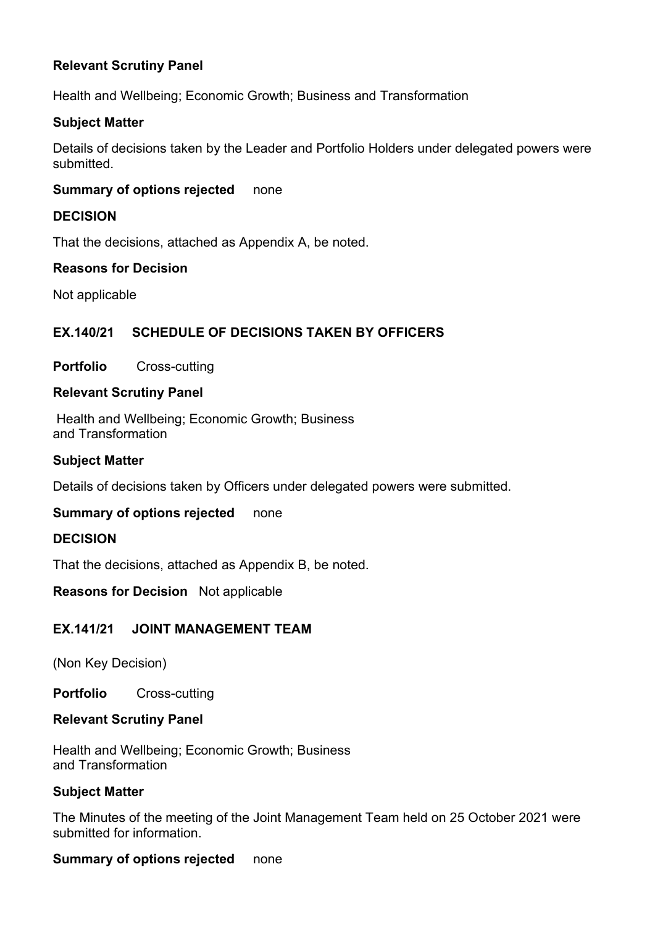## Relevant Scrutiny Panel

Health and Wellbeing; Economic Growth; Business and Transformation

#### Subject Matter

Details of decisions taken by the Leader and Portfolio Holders under delegated powers were submitted.

#### Summary of options rejected none

#### DECISION

That the decisions, attached as Appendix A, be noted.

#### Reasons for Decision

Not applicable

## EX.140/21 SCHEDULE OF DECISIONS TAKEN BY OFFICERS

#### Portfolio Cross-cutting

#### Relevant Scrutiny Panel

Health and Wellbeing; Economic Growth; Business and Transformation

#### Subject Matter

Details of decisions taken by Officers under delegated powers were submitted.

## Summary of options rejected none

#### **DECISION**

That the decisions, attached as Appendix B, be noted.

#### Reasons for Decision Not applicable

## EX.141/21 JOINT MANAGEMENT TEAM

(Non Key Decision)

Portfolio Cross-cutting

#### Relevant Scrutiny Panel

Health and Wellbeing; Economic Growth; Business and Transformation

#### Subject Matter

The Minutes of the meeting of the Joint Management Team held on 25 October 2021 were submitted for information.

#### Summary of options rejected none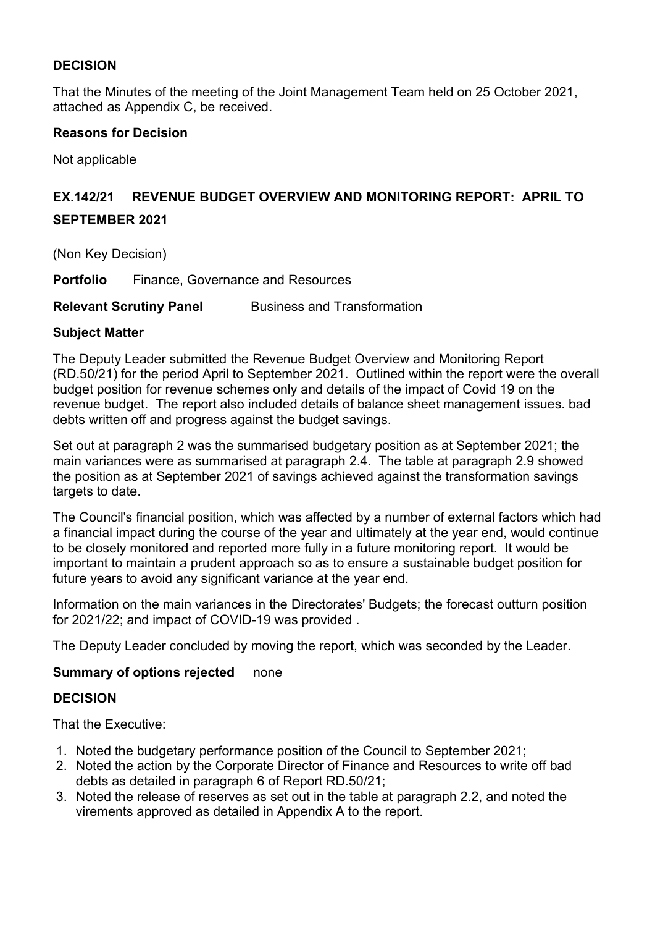## DECISION

That the Minutes of the meeting of the Joint Management Team held on 25 October 2021, attached as Appendix C, be received.

## Reasons for Decision

Not applicable

# EX.142/21 REVENUE BUDGET OVERVIEW AND MONITORING REPORT: APRIL TO SEPTEMBER 2021

(Non Key Decision)

Portfolio Finance, Governance and Resources

**Relevant Scrutiny Panel Business and Transformation** 

## Subject Matter

The Deputy Leader submitted the Revenue Budget Overview and Monitoring Report (RD.50/21) for the period April to September 2021. Outlined within the report were the overall budget position for revenue schemes only and details of the impact of Covid 19 on the revenue budget. The report also included details of balance sheet management issues. bad debts written off and progress against the budget savings.

Set out at paragraph 2 was the summarised budgetary position as at September 2021; the main variances were as summarised at paragraph 2.4. The table at paragraph 2.9 showed the position as at September 2021 of savings achieved against the transformation savings targets to date.

The Council's financial position, which was affected by a number of external factors which had a financial impact during the course of the year and ultimately at the year end, would continue to be closely monitored and reported more fully in a future monitoring report. It would be important to maintain a prudent approach so as to ensure a sustainable budget position for future years to avoid any significant variance at the year end.

Information on the main variances in the Directorates' Budgets; the forecast outturn position for 2021/22; and impact of COVID-19 was provided .

The Deputy Leader concluded by moving the report, which was seconded by the Leader.

## Summary of options rejected none

## DECISION

That the Executive:

- 1. Noted the budgetary performance position of the Council to September 2021;
- 2. Noted the action by the Corporate Director of Finance and Resources to write off bad debts as detailed in paragraph 6 of Report RD.50/21;
- 3. Noted the release of reserves as set out in the table at paragraph 2.2, and noted the virements approved as detailed in Appendix A to the report.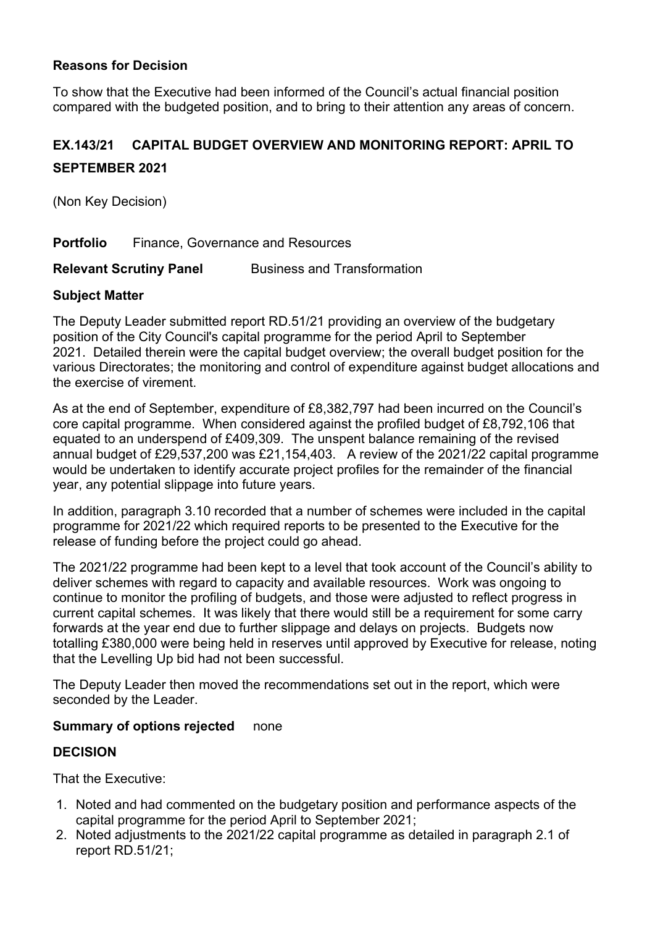## Reasons for Decision

To show that the Executive had been informed of the Council's actual financial position compared with the budgeted position, and to bring to their attention any areas of concern.

# EX.143/21 CAPITAL BUDGET OVERVIEW AND MONITORING REPORT: APRIL TO SEPTEMBER 2021

(Non Key Decision)

Portfolio Finance, Governance and Resources

**Relevant Scrutiny Panel Business and Transformation** 

## Subject Matter

The Deputy Leader submitted report RD.51/21 providing an overview of the budgetary position of the City Council's capital programme for the period April to September 2021. Detailed therein were the capital budget overview; the overall budget position for the various Directorates; the monitoring and control of expenditure against budget allocations and the exercise of virement.

As at the end of September, expenditure of £8,382,797 had been incurred on the Council's core capital programme. When considered against the profiled budget of £8,792,106 that equated to an underspend of £409,309. The unspent balance remaining of the revised annual budget of £29,537,200 was £21,154,403. A review of the 2021/22 capital programme would be undertaken to identify accurate project profiles for the remainder of the financial year, any potential slippage into future years.

In addition, paragraph 3.10 recorded that a number of schemes were included in the capital programme for 2021/22 which required reports to be presented to the Executive for the release of funding before the project could go ahead.

The 2021/22 programme had been kept to a level that took account of the Council's ability to deliver schemes with regard to capacity and available resources. Work was ongoing to continue to monitor the profiling of budgets, and those were adjusted to reflect progress in current capital schemes. It was likely that there would still be a requirement for some carry forwards at the year end due to further slippage and delays on projects. Budgets now totalling £380,000 were being held in reserves until approved by Executive for release, noting that the Levelling Up bid had not been successful.

The Deputy Leader then moved the recommendations set out in the report, which were seconded by the Leader.

## Summary of options rejected none

## DECISION

That the Executive:

- 1. Noted and had commented on the budgetary position and performance aspects of the capital programme for the period April to September 2021;
- 2. Noted adjustments to the 2021/22 capital programme as detailed in paragraph 2.1 of report RD.51/21;